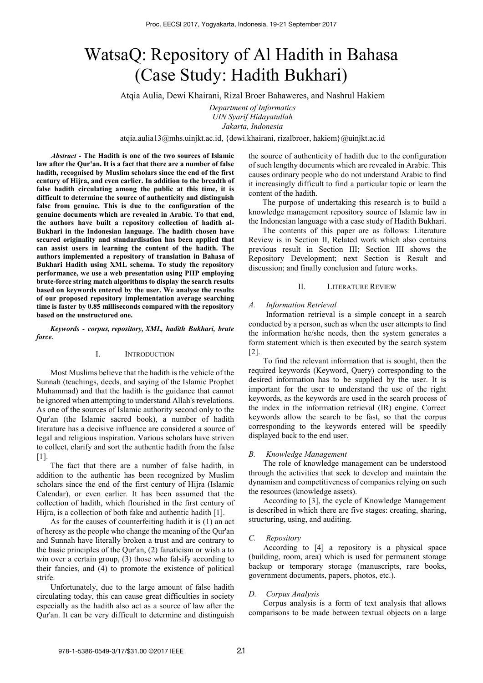# WatsaQ: Repository of Al Hadith in Bahasa (Case Study: Hadith Bukhari)

Atqia Aulia, Dewi Khairani, Rizal Broer Bahaweres, and Nashrul Hakiem

*Department of Informatics UIN Syarif Hidayatullah Jakarta, Indonesia* 

atqia.aulia13@mhs.uinjkt.ac.id, {dewi.khairani, rizalbroer, hakiem}@uinjkt.ac.id

*Abstract* **- The Hadith is one of the two sources of Islamic law after the Qur'an. It is a fact that there are a number of false hadith, recognised by Muslim scholars since the end of the first century of Hijra, and even earlier. In addition to the breadth of false hadith circulating among the public at this time, it is difficult to determine the source of authenticity and distinguish false from genuine. This is due to the configuration of the genuine documents which are revealed in Arabic. To that end, the authors have built a repository collection of hadith al-Bukhari in the Indonesian language. The hadith chosen have secured originality and standardisation has been applied that can assist users in learning the content of the hadith. The authors implemented a repository of translation in Bahasa of Bukhari Hadith using XML schema. To study the repository performance, we use a web presentation using PHP employing brute-force string match algorithms to display the search results based on keywords entered by the user. We analyse the results of our proposed repository implementation average searching time is faster by 0.85 milliseconds compared with the repository based on the unstructured one.** 

*Keywords - corpus, repository, XML, hadith Bukhari, brute force.* 

#### I. INTRODUCTION

 Most Muslims believe that the hadith is the vehicle of the Sunnah (teachings, deeds, and saying of the Islamic Prophet Muhammad) and that the hadith is the guidance that cannot be ignored when attempting to understand Allah's revelations. As one of the sources of Islamic authority second only to the Qur'an (the Islamic sacred book), a number of hadith literature has a decisive influence are considered a source of legal and religious inspiration. Various scholars have striven to collect, clarify and sort the authentic hadith from the false [1].

The fact that there are a number of false hadith, in addition to the authentic has been recognized by Muslim scholars since the end of the first century of Hijra (Islamic Calendar), or even earlier. It has been assumed that the collection of hadith, which flourished in the first century of Hijra, is a collection of both fake and authentic hadith [1].

As for the causes of counterfeiting hadith it is (1) an act of heresy as the people who change the meaning of the Qur'an and Sunnah have literally broken a trust and are contrary to the basic principles of the Qur'an, (2) fanaticism or wish a to win over a certain group, (3) those who falsify according to their fancies, and (4) to promote the existence of political strife.

Unfortunately, due to the large amount of false hadith circulating today, this can cause great difficulties in society especially as the hadith also act as a source of law after the Qur'an. It can be very difficult to determine and distinguish the source of authenticity of hadith due to the configuration of such lengthy documents which are revealed in Arabic. This causes ordinary people who do not understand Arabic to find it increasingly difficult to find a particular topic or learn the content of the hadith.

The purpose of undertaking this research is to build a knowledge management repository source of Islamic law in the Indonesian language with a case study of Hadith Bukhari.

The contents of this paper are as follows: Literature Review is in Section II, Related work which also contains previous result in Section III; Section III shows the Repository Development; next Section is Result and discussion; and finally conclusion and future works.

#### II. LITERATURE REVIEW

## *A. Information Retrieval*

Information retrieval is a simple concept in a search conducted by a person, such as when the user attempts to find the information he/she needs, then the system generates a form statement which is then executed by the search system [2].

 To find the relevant information that is sought, then the required keywords (Keyword, Query) corresponding to the desired information has to be supplied by the user. It is important for the user to understand the use of the right keywords, as the keywords are used in the search process of the index in the information retrieval (IR) engine. Correct keywords allow the search to be fast, so that the corpus corresponding to the keywords entered will be speedily displayed back to the end user.

#### *B. Knowledge Management*

 The role of knowledge management can be understood through the activities that seek to develop and maintain the dynamism and competitiveness of companies relying on such the resources (knowledge assets).

 According to [3], the cycle of Knowledge Management is described in which there are five stages: creating, sharing, structuring, using, and auditing.

#### *C. Repository*

According to [4] a repository is a physical space (building, room, area) which is used for permanent storage backup or temporary storage (manuscripts, rare books, government documents, papers, photos, etc.).

#### *D. Corpus Analysis*

Corpus analysis is a form of text analysis that allows comparisons to be made between textual objects on a large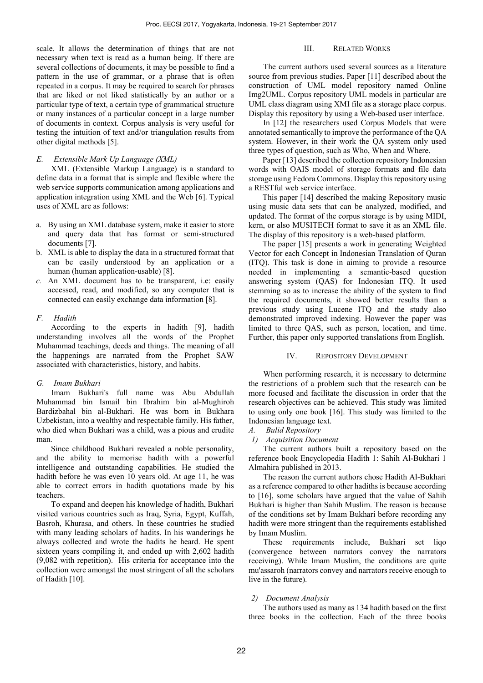scale. It allows the determination of things that are not necessary when text is read as a human being. If there are several collections of documents, it may be possible to find a pattern in the use of grammar, or a phrase that is often repeated in a corpus. It may be required to search for phrases that are liked or not liked statistically by an author or a particular type of text, a certain type of grammatical structure or many instances of a particular concept in a large number of documents in context. Corpus analysis is very useful for testing the intuition of text and/or triangulation results from other digital methods [5].

# *E. Extensible Mark Up Language (XML)*

XML (Extensible Markup Language) is a standard to define data in a format that is simple and flexible where the web service supports communication among applications and application integration using XML and the Web [6]. Typical uses of XML are as follows:

- a. By using an XML database system, make it easier to store and query data that has format or semi-structured documents [7].
- b. XML is able to display the data in a structured format that can be easily understood by an application or a human (human application-usable) [8].
- *c.* An XML document has to be transparent, i.e: easily accessed, read, and modified, so any computer that is connected can easily exchange data information [8].

# *F. Hadith*

According to the experts in hadith [9], hadith understanding involves all the words of the Prophet Muhammad teachings, deeds and things. The meaning of all the happenings are narrated from the Prophet SAW associated with characteristics, history, and habits.

# *G. Imam Bukhari*

Imam Bukhari's full name was Abu Abdullah Muhammad bin Ismail bin Ibrahim bin al-Mughiroh Bardizbahal bin al-Bukhari. He was born in Bukhara Uzbekistan, into a wealthy and respectable family. His father, who died when Bukhari was a child, was a pious and erudite man.

 Since childhood Bukhari revealed a noble personality, and the ability to memorise hadith with a powerful intelligence and outstanding capabilities. He studied the hadith before he was even 10 years old. At age 11, he was able to correct errors in hadith quotations made by his teachers.

 To expand and deepen his knowledge of hadith, Bukhari visited various countries such as Iraq, Syria, Egypt, Kuffah, Basroh, Khurasa, and others. In these countries he studied with many leading scholars of hadits. In his wanderings he always collected and wrote the hadits he heard. He spent sixteen years compiling it, and ended up with 2,602 hadith (9,082 with repetition). His criteria for acceptance into the collection were amongst the most stringent of all the scholars of Hadith [10].

# III. RELATED WORKS

The current authors used several sources as a literature source from previous studies. Paper [11] described about the construction of UML model repository named Online Img2UML. Corpus repository UML models in particular are UML class diagram using XMI file as a storage place corpus. Display this repository by using a Web-based user interface.

 In [12] the researchers used Corpus Models that were annotated semantically to improve the performance of the QA system. However, in their work the QA system only used three types of question, such as Who, When and Where.

Paper [13] described the collection repository Indonesian words with OAIS model of storage formats and file data storage using Fedora Commons. Display this repository using a RESTful web service interface.

This paper [14] described the making Repository music using music data sets that can be analyzed, modified, and updated. The format of the corpus storage is by using MIDI, kern, or also MUSITECH format to save it as an XML file. The display of this repository is a web-based platform.

The paper [15] presents a work in generating Weighted Vector for each Concept in Indonesian Translation of Quran (ITQ). This task is done in aiming to provide a resource needed in implementing a semantic-based question answering system (QAS) for Indonesian ITQ. It used stemming so as to increase the ability of the system to find the required documents, it showed better results than a previous study using Lucene ITQ and the study also demonstrated improved indexing. However the paper was limited to three QAS, such as person, location, and time. Further, this paper only supported translations from English.

## IV. REPOSITORY DEVELOPMENT

When performing research, it is necessary to determine the restrictions of a problem such that the research can be more focused and facilitate the discussion in order that the research objectives can be achieved. This study was limited to using only one book [16]. This study was limited to the Indonesian language text.

## *A. Bulid Repository*

*1) Acquisition Document* 

 The current authors built a repository based on the reference book Encyclopedia Hadith 1: Sahih Al-Bukhari 1 Almahira published in 2013.

 The reason the current authors chose Hadith Al-Bukhari as a reference compared to other hadiths is because according to [16], some scholars have argued that the value of Sahih Bukhari is higher than Sahih Muslim. The reason is because of the conditions set by Imam Bukhari before recording any hadith were more stringent than the requirements established by Imam Muslim.

 These requirements include, Bukhari set liqo (convergence between narrators convey the narrators receiving). While Imam Muslim, the conditions are quite mu'assaroh (narrators convey and narrators receive enough to live in the future).

# *2) Document Analysis*

 The authors used as many as 134 hadith based on the first three books in the collection. Each of the three books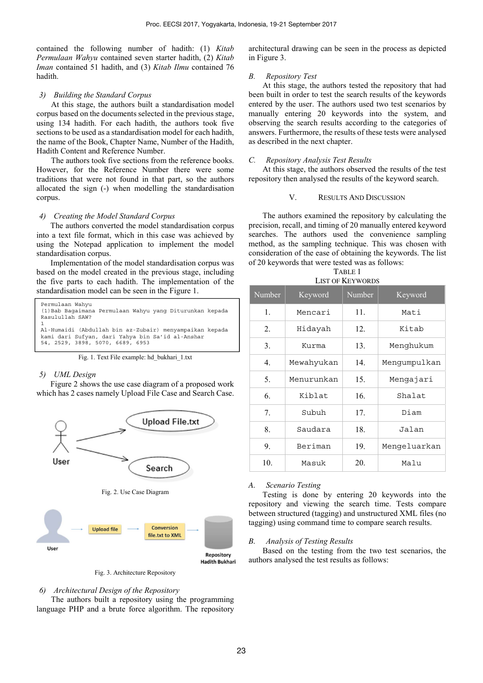contained the following number of hadith: (1) *Kitab Permulaan Wahyu* contained seven starter hadith, (2) *Kitab Iman* contained 51 hadith, and (3) *Kitab Ilmu* contained 76 hadith.

### *3) Building the Standard Corpus*

 At this stage, the authors built a standardisation model corpus based on the documents selected in the previous stage, using 134 hadith. For each hadith, the authors took five sections to be used as a standardisation model for each hadith, the name of the Book, Chapter Name, Number of the Hadith, Hadith Content and Reference Number.

 The authors took five sections from the reference books. However, for the Reference Number there were some traditions that were not found in that part, so the authors allocated the sign (-) when modelling the standardisation corpus.

# *4) Creating the Model Standard Corpus*

 The authors converted the model standardisation corpus into a text file format, which in this case was achieved by using the Notepad application to implement the model standardisation corpus.

 Implementation of the model standardisation corpus was based on the model created in the previous stage, including the five parts to each hadith. The implementation of the standardisation model can be seen in the Figure 1.

| Permulaan Wahyu                                          |  |  |  |  |
|----------------------------------------------------------|--|--|--|--|
| (1) Bab Baqaimana Permulaan Wahyu yang Diturunkan kepada |  |  |  |  |
| Rasulullah SAW?                                          |  |  |  |  |
|                                                          |  |  |  |  |
| Al-Humaidi (Abdullah bin az-Zubair) menyampaikan kepada  |  |  |  |  |
| kami dari Sufyan, dari Yahya bin Sa'id al-Anshar         |  |  |  |  |
| 54, 2529, 3898, 5070, 6689, 6953                         |  |  |  |  |
|                                                          |  |  |  |  |

Fig. 1. Text File example: hd\_bukhari\_1.txt

#### *5) UML Design*

Figure 2 shows the use case diagram of a proposed work which has 2 cases namely Upload File Case and Search Case.







Fig. 3. Architecture Repository

# *6) Architectural Design of the Repository*

 The authors built a repository using the programming language PHP and a brute force algorithm. The repository

architectural drawing can be seen in the process as depicted in Figure 3.

## *B. Repository Test*

 At this stage, the authors tested the repository that had been built in order to test the search results of the keywords entered by the user. The authors used two test scenarios by manually entering 20 keywords into the system, and observing the search results according to the categories of answers. Furthermore, the results of these tests were analysed as described in the next chapter.

#### *C. Repository Analysis Test Results*

 At this stage, the authors observed the results of the test repository then analysed the results of the keyword search.

#### V. RESULTS AND DISCUSSION

The authors examined the repository by calculating the precision, recall, and timing of 20 manually entered keyword searches. The authors used the convenience sampling method, as the sampling technique. This was chosen with consideration of the ease of obtaining the keywords. The list of 20 keywords that were tested was as follows:

| Number           | Keyword    | Number | Keyword      |
|------------------|------------|--------|--------------|
| $\mathbf{1}$ .   | Mencari    | 11.    | Mati         |
| $\overline{2}$ . | Hidayah    | 12.    | Kitab        |
| 3.               | Kurma      | 13.    | Menghukum    |
| $\overline{4}$ . | Mewahyukan | 14.    | Menqumpulkan |
| 5.               | Menurunkan | 15.    | Mengajari    |
| 6.               | Kiblat     | 16.    | Shalat       |
| 7.               | Subuh      | 17.    | Diam         |
| 8.               | Saudara    | 18.    | Jalan        |
| 9.               | Beriman    | 19.    | Mengeluarkan |
| 10 <sub>1</sub>  | Masuk      | 20.    | Malu         |

## TABLE 1 LIST OF KEYWORDS

## *A. Scenario Testing*

Testing is done by entering 20 keywords into the repository and viewing the search time. Tests compare between structured (tagging) and unstructured XML files (no tagging) using command time to compare search results.

# *B. Analysis of Testing Results*

Based on the testing from the two test scenarios, the authors analysed the test results as follows: